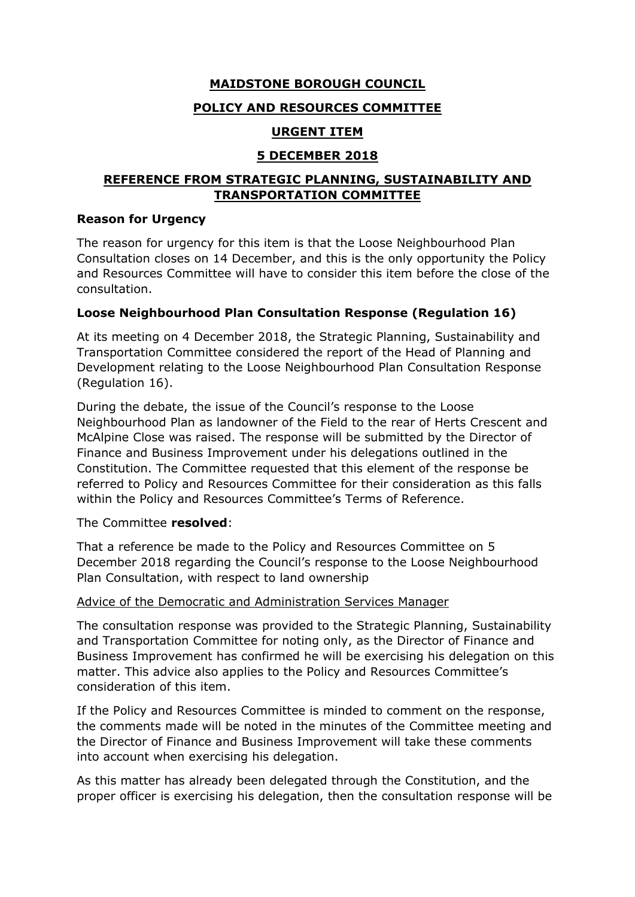## **MAIDSTONE BOROUGH COUNCIL**

## **POLICY AND RESOURCES COMMITTEE**

## **URGENT ITEM**

# **5 DECEMBER 2018**

## **REFERENCE FROM STRATEGIC PLANNING, SUSTAINABILITY AND TRANSPORTATION COMMITTEE**

#### **Reason for Urgency**

The reason for urgency for this item is that the Loose Neighbourhood Plan Consultation closes on 14 December, and this is the only opportunity the Policy and Resources Committee will have to consider this item before the close of the consultation.

### **Loose Neighbourhood Plan Consultation Response (Regulation 16)**

At its meeting on 4 December 2018, the Strategic Planning, Sustainability and Transportation Committee considered the report of the Head of Planning and Development relating to the Loose Neighbourhood Plan Consultation Response (Regulation 16).

During the debate, the issue of the Council's response to the Loose Neighbourhood Plan as landowner of the Field to the rear of Herts Crescent and McAlpine Close was raised. The response will be submitted by the Director of Finance and Business Improvement under his delegations outlined in the Constitution. The Committee requested that this element of the response be referred to Policy and Resources Committee for their consideration as this falls within the Policy and Resources Committee's Terms of Reference.

### The Committee **resolved**:

That a reference be made to the Policy and Resources Committee on 5 December 2018 regarding the Council's response to the Loose Neighbourhood Plan Consultation, with respect to land ownership

### Advice of the Democratic and Administration Services Manager

The consultation response was provided to the Strategic Planning, Sustainability and Transportation Committee for noting only, as the Director of Finance and Business Improvement has confirmed he will be exercising his delegation on this matter. This advice also applies to the Policy and Resources Committee's consideration of this item.

If the Policy and Resources Committee is minded to comment on the response, the comments made will be noted in the minutes of the Committee meeting and the Director of Finance and Business Improvement will take these comments into account when exercising his delegation.

As this matter has already been delegated through the Constitution, and the proper officer is exercising his delegation, then the consultation response will be